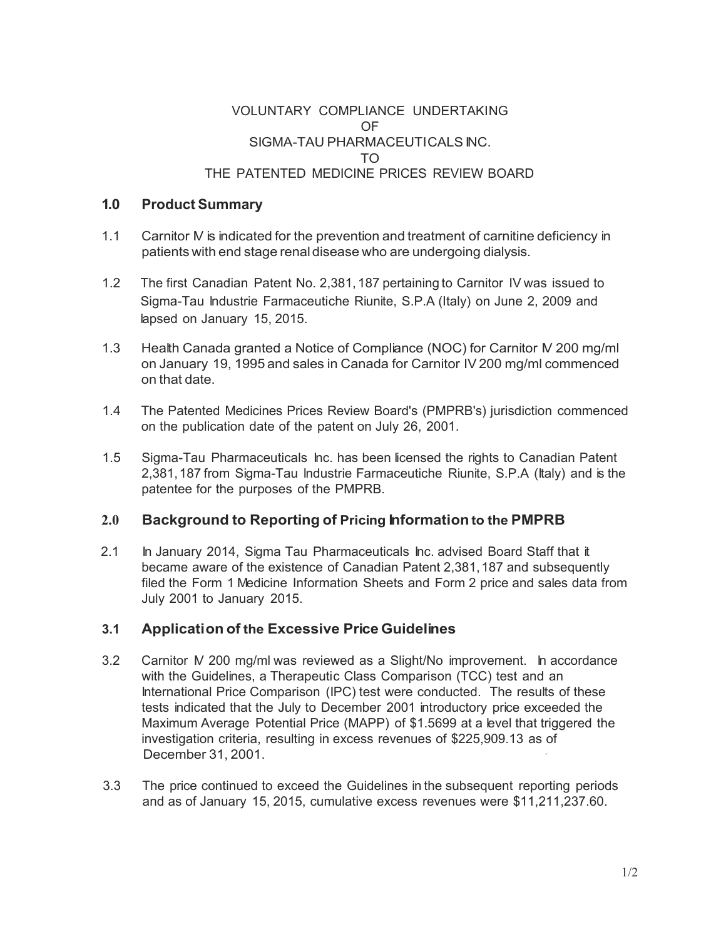### VOLUNTARY COMPLIANCE UNDERTAKING OF SIGMA-TAU PHARMACEUTICALS INC. TO THE PATENTED MEDICINE PRICES REVIEW BOARD

## **1. 0 Product Summary**

- 1.1 Carnitor *N* is indicated for the prevention and treatment of carnitine deficiency in patients with end stage renal disease who are undergoing dialysis.
- 1.2 The first Canadian Patent No. 2,381, 187 pertaining to Carnitor IV was issued to Sigma-Tau lndustrie Farmaceutiche Riunite, S.P.A (Italy) on June 2, 2009 and lapsed on January 15, 2015.
- 1.3 Health Canada granted a Notice of Compliance (NOC) for Carnitor N 200 mg/ml on January 19, 1995 and sales in Canada for Carnitor IV 200 mg/ml commenced on that date.
- 1.4 The Patented Medicines Prices Review Board's (PMPRB's) jurisdiction commenced on the publication date of the patent on July 26, 2001.
- 1.5 Sigma-Tau Pharmaceuticals Inc. has been licensed the rights to Canadian Patent 2,381, 187 from Sigma-Tau lndustrie Farmaceutiche Riunite, S.P.A (Italy) and is the patentee for the purposes of the PMPRB.

# **2.0 Background to Reporting of Pricing Information to the PMPRB**

2.1 In January 2014, Sigma Tau Pharmaceuticals Inc. advised Board Staff that it became aware of the existence of Canadian Patent 2,381, 187 and subsequently filed the Form 1 Medicine Information Sheets and Form 2 price and sales data from July 2001 to January 2015.

# **3.1 Application of the Excessive Price Guidelines**

- 3.2 Carnitor IV 200 mg/ml was reviewed as a Slight/No improvement. In accordance with the Guidelines, a Therapeutic Class Comparison (TCC) test and an International Price Comparison (IPC) test were conducted. The results of these tests indicated that the July to December 2001 introductory price exceeded the Maximum Average Potential Price (MAPP) of \$1.5699 at a level that triggered the investigation criteria, resulting in excess revenues of \$225,909.13 as of December 31, 2001.
- 3.3 The price continued to exceed the Guidelines in the subsequent reporting periods and as of January 15, 2015, cumulative excess revenues were \$11,211,237.60.